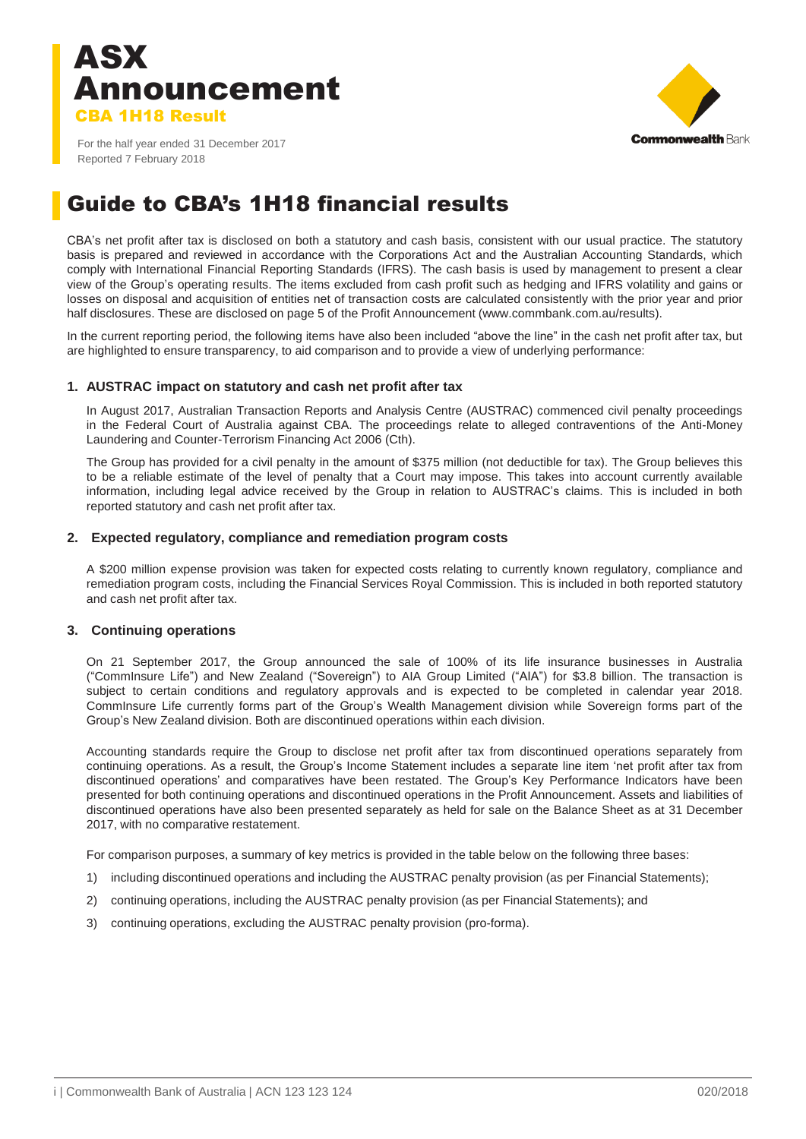



For the half year ended 31 December 2017 Reported 7 February 2018

### Guide to CBA's 1H18 financial results

CBA's net profit after tax is disclosed on both a statutory and cash basis, consistent with our usual practice. The statutory basis is prepared and reviewed in accordance with the Corporations Act and the Australian Accounting Standards, which comply with International Financial Reporting Standards (IFRS). The cash basis is used by management to present a clear view of the Group's operating results. The items excluded from cash profit such as hedging and IFRS volatility and gains or losses on disposal and acquisition of entities net of transaction costs are calculated consistently with the prior year and prior half disclosures. These are disclosed on page 5 of the Profit Announcement (www.commbank.com.au/results).

In the current reporting period, the following items have also been included "above the line" in the cash net profit after tax, but are highlighted to ensure transparency, to aid comparison and to provide a view of underlying performance:

#### **1. AUSTRAC impact on statutory and cash net profit after tax**

In August 2017, Australian Transaction Reports and Analysis Centre (AUSTRAC) commenced civil penalty proceedings in the Federal Court of Australia against CBA. The proceedings relate to alleged contraventions of the Anti-Money Laundering and Counter-Terrorism Financing Act 2006 (Cth).

The Group has provided for a civil penalty in the amount of \$375 million (not deductible for tax). The Group believes this to be a reliable estimate of the level of penalty that a Court may impose. This takes into account currently available information, including legal advice received by the Group in relation to AUSTRAC's claims. This is included in both reported statutory and cash net profit after tax.

#### **2. Expected regulatory, compliance and remediation program costs**

A \$200 million expense provision was taken for expected costs relating to currently known regulatory, compliance and remediation program costs, including the Financial Services Royal Commission. This is included in both reported statutory and cash net profit after tax.

#### **3. Continuing operations**

On 21 September 2017, the Group announced the sale of 100% of its life insurance businesses in Australia ("CommInsure Life") and New Zealand ("Sovereign") to AIA Group Limited ("AIA") for \$3.8 billion. The transaction is subject to certain conditions and regulatory approvals and is expected to be completed in calendar year 2018. CommInsure Life currently forms part of the Group's Wealth Management division while Sovereign forms part of the Group's New Zealand division. Both are discontinued operations within each division.

Accounting standards require the Group to disclose net profit after tax from discontinued operations separately from continuing operations. As a result, the Group's Income Statement includes a separate line item 'net profit after tax from discontinued operations' and comparatives have been restated. The Group's Key Performance Indicators have been presented for both continuing operations and discontinued operations in the Profit Announcement. Assets and liabilities of discontinued operations have also been presented separately as held for sale on the Balance Sheet as at 31 December 2017, with no comparative restatement.

For comparison purposes, a summary of key metrics is provided in the table below on the following three bases:

- 1) including discontinued operations and including the AUSTRAC penalty provision (as per Financial Statements);
- 2) continuing operations, including the AUSTRAC penalty provision (as per Financial Statements); and
- 3) continuing operations, excluding the AUSTRAC penalty provision (pro-forma).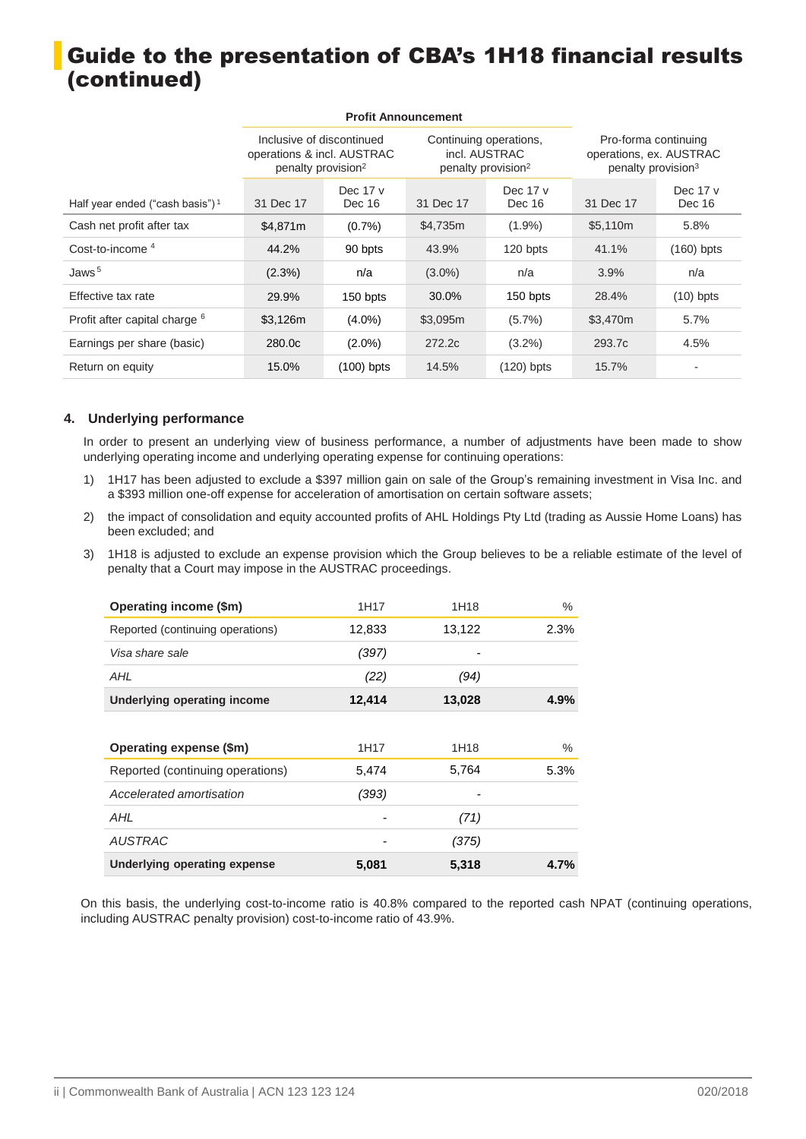### Guide to the presentation of CBA's 1H18 financial results (continued)

|                                             |                                                                                           |                    | <b>Profit Announcement</b>                                                |                    |                                                                                   |                    |
|---------------------------------------------|-------------------------------------------------------------------------------------------|--------------------|---------------------------------------------------------------------------|--------------------|-----------------------------------------------------------------------------------|--------------------|
|                                             | Inclusive of discontinued<br>operations & incl. AUSTRAC<br>penalty provision <sup>2</sup> |                    | Continuing operations,<br>incl. AUSTRAC<br>penalty provision <sup>2</sup> |                    | Pro-forma continuing<br>operations, ex. AUSTRAC<br>penalty provision <sup>3</sup> |                    |
| Half year ended ("cash basis") <sup>1</sup> | 31 Dec 17                                                                                 | Dec 17 v<br>Dec 16 | 31 Dec 17                                                                 | Dec 17 v<br>Dec 16 | 31 Dec 17                                                                         | Dec 17 v<br>Dec 16 |
| Cash net profit after tax                   | \$4,871m                                                                                  | $(0.7\%)$          | \$4,735m                                                                  | $(1.9\%)$          | \$5,110m                                                                          | 5.8%               |
| Cost-to-income $4$                          | 44.2%                                                                                     | 90 bpts            | 43.9%                                                                     | 120 bpts           | 41.1%                                                                             | $(160)$ bpts       |
| Jaws $5$                                    | (2.3%)                                                                                    | n/a                | $(3.0\%)$                                                                 | n/a                | 3.9%                                                                              | n/a                |
| Effective tax rate                          | 29.9%                                                                                     | 150 bpts           | 30.0%                                                                     | 150 bpts           | 28.4%                                                                             | $(10)$ bpts        |
| Profit after capital charge <sup>6</sup>    | \$3,126m                                                                                  | $(4.0\%)$          | \$3,095m                                                                  | $(5.7\%)$          | \$3,470m                                                                          | 5.7%               |
| Earnings per share (basic)                  | 280.0c                                                                                    | $(2.0\%)$          | 272.2c                                                                    | $(3.2\%)$          | 293.7c                                                                            | 4.5%               |
| Return on equity                            | 15.0%                                                                                     | $(100)$ bpts       | 14.5%                                                                     | (120) bpts         | 15.7%                                                                             |                    |

#### **4. Underlying performance**

In order to present an underlying view of business performance, a number of adjustments have been made to show underlying operating income and underlying operating expense for continuing operations:

- 1) 1H17 has been adjusted to exclude a \$397 million gain on sale of the Group's remaining investment in Visa Inc. and a \$393 million one-off expense for acceleration of amortisation on certain software assets;
- 2) the impact of consolidation and equity accounted profits of AHL Holdings Pty Ltd (trading as Aussie Home Loans) has been excluded; and
- 3) 1H18 is adjusted to exclude an expense provision which the Group believes to be a reliable estimate of the level of penalty that a Court may impose in the AUSTRAC proceedings.

| Operating income (\$m)           | 1H17   | 1H18   | %    |
|----------------------------------|--------|--------|------|
| Reported (continuing operations) | 12,833 | 13,122 | 2.3% |
| Visa share sale                  | (397)  |        |      |
| AHL                              | (22)   | (94)   |      |
| Underlying operating income      | 12,414 | 13,028 | 4.9% |
|                                  |        |        |      |
|                                  |        |        |      |
| Operating expense (\$m)          | 1H17   | 1H18   | $\%$ |
| Reported (continuing operations) | 5,474  | 5,764  | 5.3% |
| Accelerated amortisation         | (393)  |        |      |
| AHI                              |        | (71)   |      |
| <b>AUSTRAC</b>                   |        | (375)  |      |

On this basis, the underlying cost-to-income ratio is 40.8% compared to the reported cash NPAT (continuing operations, including AUSTRAC penalty provision) cost-to-income ratio of 43.9%.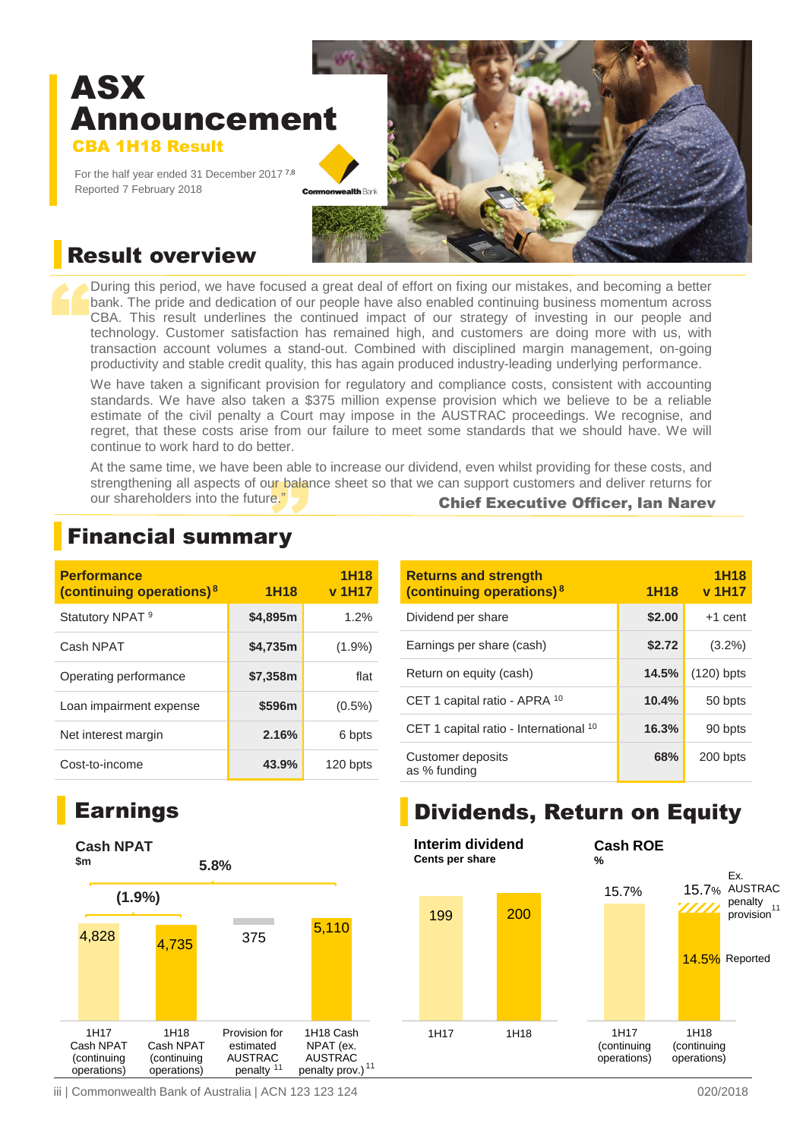# ASX Announcement CBA 1H18 Result

For the half year ended 31 December 2017 7,8 Reported 7 February 2018



### Result overview

During this period, we have focused a great deal of effort on fixing our mistakes, and becoming a better bank. The pride and dedication of our people have also enabled continuing business momentum across CBA. This result underlines the continued impact of our strategy of investing in our people and technology. Customer satisfaction has remained high, and customers are doing more with us, with transaction account volumes a stand-out. Combined with disciplined margin management, on-going productivity and stable credit quality, this has again produced industry-leading underlying performance.

We have taken a significant provision for regulatory and compliance costs, consistent with accounting standards. We have also taken a \$375 million expense provision which we believe to be a reliable estimate of the civil penalty a Court may impose in the AUSTRAC proceedings. We recognise, and regret, that these costs arise from our failure to meet some standards that we should have. We will continue to work hard to do better.

At the same time, we have been able to increase our dividend, even whilst providing for these costs, and strengthening all aspects of our balance sheet so that we can support customers and deliver returns for our shareholders into the future." Chief Executive Officer, Ian Narev

| <b>Performance</b><br>(continuing operations) <sup>8</sup> | <b>1H18</b> | <b>1H18</b><br>v 1H17 |
|------------------------------------------------------------|-------------|-----------------------|
| Statutory NPAT <sup>9</sup>                                | \$4,895m    | 1.2%                  |
| Cash NPAT                                                  | \$4,735m    | $(1.9\%)$             |
| Operating performance                                      | \$7,358m    | flat                  |
| Loan impairment expense                                    | \$596m      | $(0.5\%)$             |
| Net interest margin                                        | 2.16%       | 6 bpts                |
| Cost-to-income                                             | 43.9%       | 120 bpts              |

### Financial summary

| <b>Returns and strength</b><br>(continuing operations) <sup>8</sup> | <b>1H18</b> | <b>1H18</b><br>v 1H17 |
|---------------------------------------------------------------------|-------------|-----------------------|
| Dividend per share                                                  | \$2.00      | $+1$ cent             |
| Earnings per share (cash)                                           | \$2.72      | $(3.2\%)$             |
| Return on equity (cash)                                             | 14.5%       | $(120)$ bpts          |
| CET 1 capital ratio - APRA 10                                       | 10.4%       | 50 bpts               |
| CET 1 capital ratio - International 10                              | 16.3%       | 90 bpts               |
| Customer deposits<br>as % funding                                   | 68%         | 200 bpts              |

### Earnings



# Dividends, Return on Equity



iii | Commonwealth Bank of Australia | ACN 123 123 124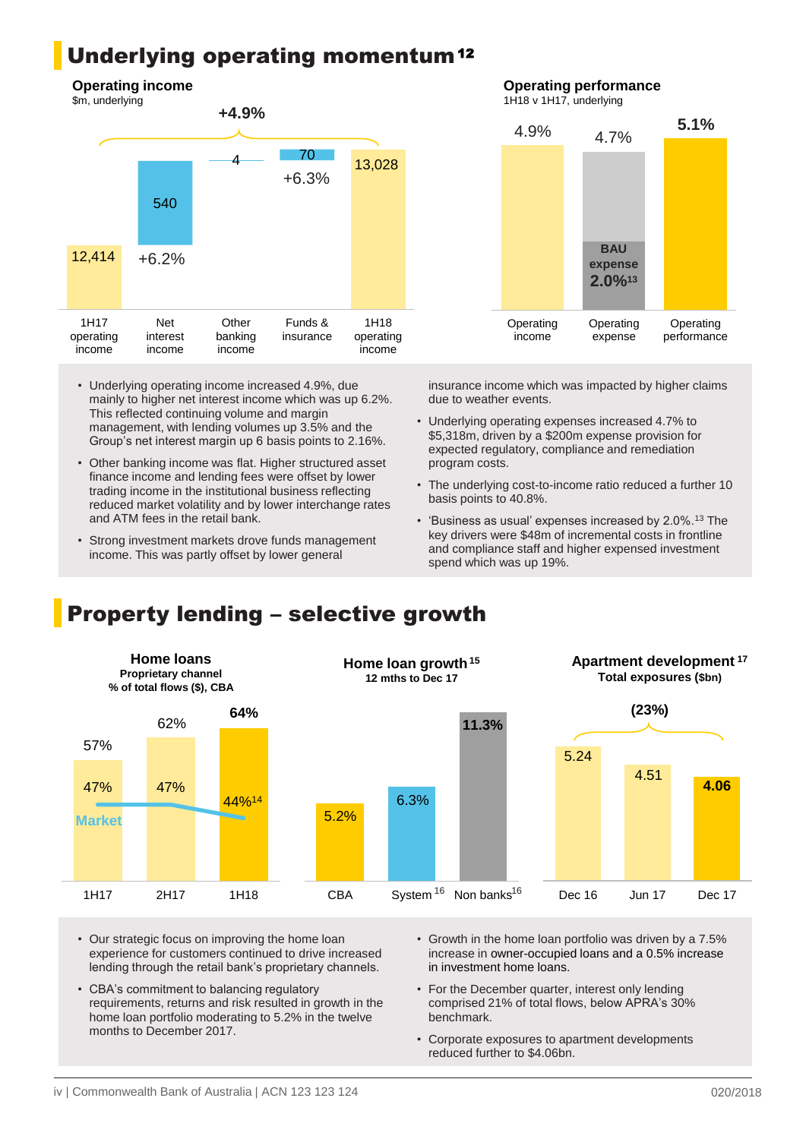### Underlying operating momentum<sup>12</sup>

#### **Operating income**



- Underlying operating income increased 4.9%, due mainly to higher net interest income which was up 6.2%. This reflected continuing volume and margin management, with lending volumes up 3.5% and the Group's net interest margin up 6 basis points to 2.16%.
- Other banking income was flat. Higher structured asset finance income and lending fees were offset by lower trading income in the institutional business reflecting reduced market volatility and by lower interchange rates and ATM fees in the retail bank.
- Strong investment markets drove funds management income. This was partly offset by lower general

### **Operating performance**

1H18 v 1H17, underlying



insurance income which was impacted by higher claims due to weather events.

- Underlying operating expenses increased 4.7% to \$5,318m, driven by a \$200m expense provision for expected regulatory, compliance and remediation program costs.
- The underlying cost-to-income ratio reduced a further 10 basis points to 40.8%.
- 'Business as usual' expenses increased by 2.0%.<sup>13</sup> The key drivers were \$48m of incremental costs in frontline and compliance staff and higher expensed investment spend which was up 19%.

### Property lending – selective growth



- Our strategic focus on improving the home loan experience for customers continued to drive increased lending through the retail bank's proprietary channels.
- CBA's commitment to balancing regulatory requirements, returns and risk resulted in growth in the home loan portfolio moderating to 5.2% in the twelve months to December 2017.
- Growth in the home loan portfolio was driven by a 7.5% increase in owner-occupied loans and a 0.5% increase in investment home loans.
- For the December quarter, interest only lending comprised 21% of total flows, below APRA's 30% benchmark.
- Corporate exposures to apartment developments reduced further to \$4.06bn.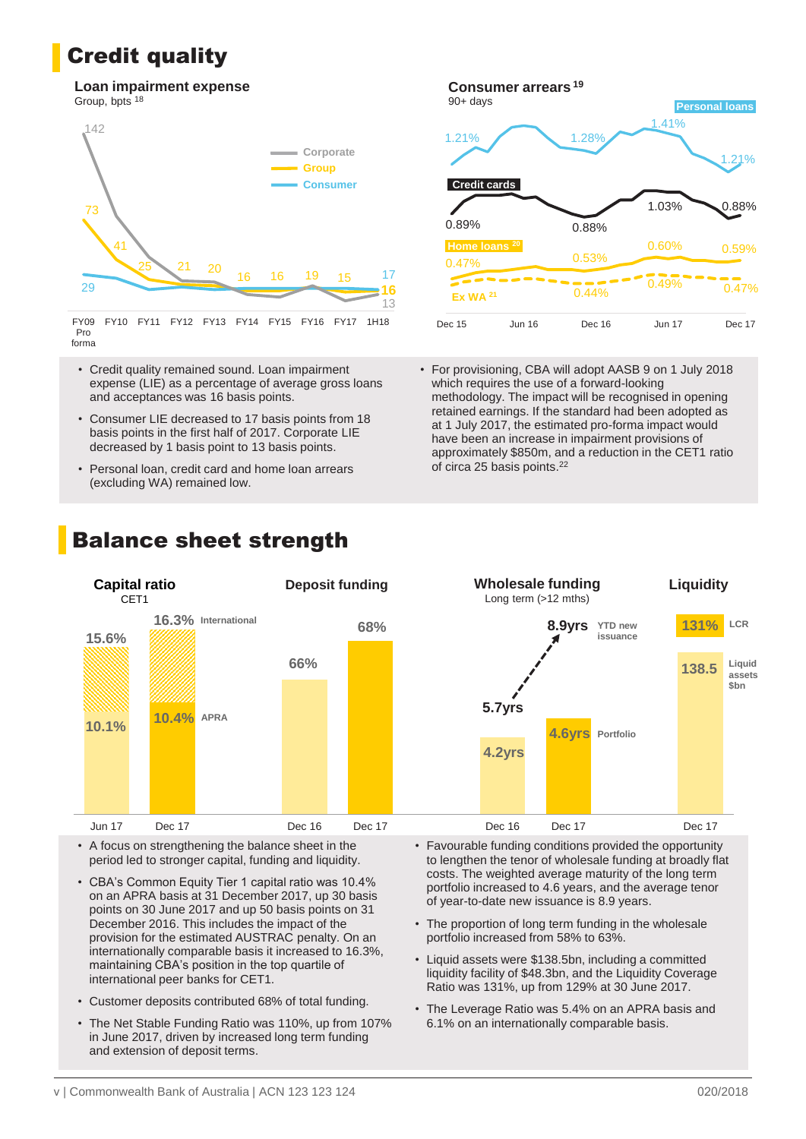### Credit quality

#### **Loan impairment expense** Group, bpts <sup>18</sup>



FY09 Pro forma FY10 FY11 FY12 FY13 FY14 FY15 FY16 FY17 1H18

- Credit quality remained sound. Loan impairment expense (LIE) as a percentage of average gross loans and acceptances was 16 basis points.
- Consumer LIE decreased to 17 basis points from 18 basis points in the first half of 2017. Corporate LIE decreased by 1 basis point to 13 basis points.
- Personal loan, credit card and home loan arrears (excluding WA) remained low.



• For provisioning, CBA will adopt AASB 9 on 1 July 2018 which requires the use of a forward-looking methodology. The impact will be recognised in opening retained earnings. If the standard had been adopted as at 1 July 2017, the estimated pro-forma impact would have been an increase in impairment provisions of approximately \$850m, and a reduction in the CET1 ratio of circa 25 basis points.<sup>22</sup>



• A focus on strengthening the balance sheet in the period led to stronger capital, funding and liquidity.

- CBA's Common Equity Tier 1 capital ratio was 10.4% on an APRA basis at 31 December 2017, up 30 basis points on 30 June 2017 and up 50 basis points on 31 December 2016. This includes the impact of the provision for the estimated AUSTRAC penalty. On an internationally comparable basis it increased to 16.3%, maintaining CBA's position in the top quartile of international peer banks for CET1.
- Customer deposits contributed 68% of total funding.
- The Net Stable Funding Ratio was 110%, up from 107% in June 2017, driven by increased long term funding and extension of deposit terms.
- Favourable funding conditions provided the opportunity to lengthen the tenor of wholesale funding at broadly flat costs. The weighted average maturity of the long term portfolio increased to 4.6 years, and the average tenor of year-to-date new issuance is 8.9 years.
- The proportion of long term funding in the wholesale portfolio increased from 58% to 63%.
- Liquid assets were \$138.5bn, including a committed liquidity facility of \$48.3bn, and the Liquidity Coverage Ratio was 131%, up from 129% at 30 June 2017.
- The Leverage Ratio was 5.4% on an APRA basis and 6.1% on an internationally comparable basis.

## Balance sheet strength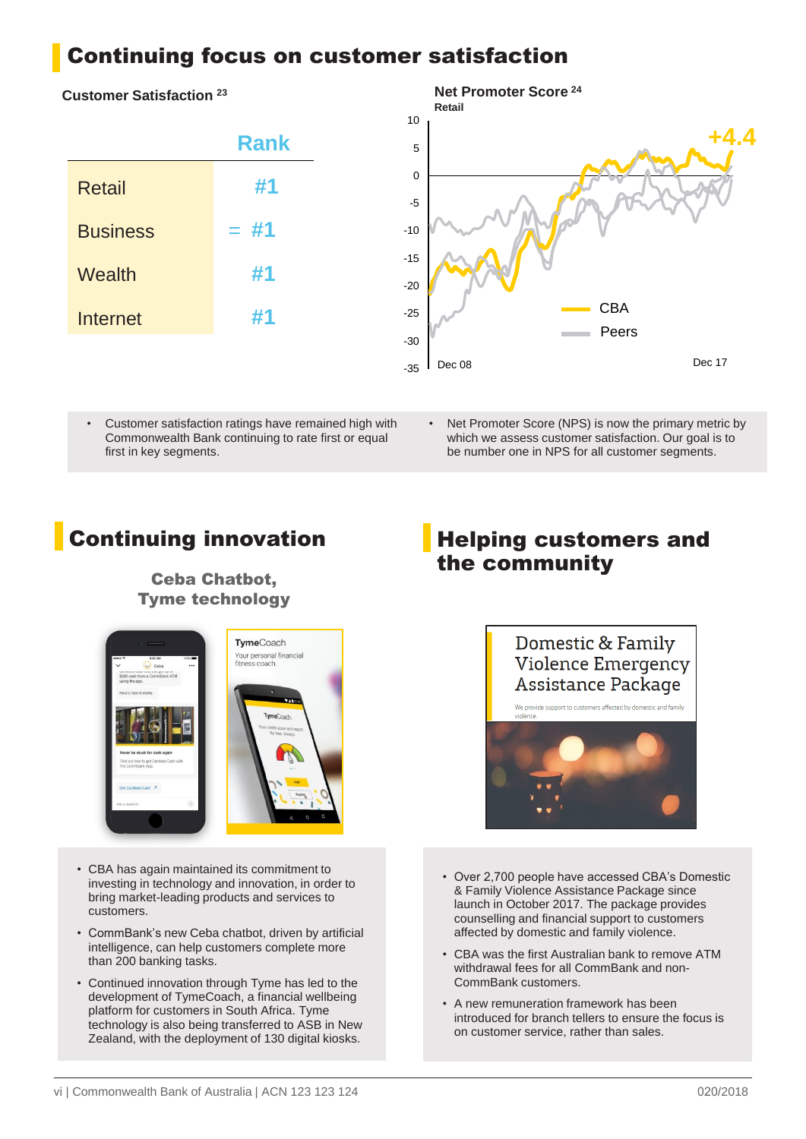### Continuing focus on customer satisfaction

#### **Customer Satisfaction <sup>23</sup>**

| <b>Rank</b> |
|-------------|
| #1          |
| $=$ #1      |
| #1          |
| #1          |
|             |



• Customer satisfaction ratings have remained high with Commonwealth Bank continuing to rate first or equal first in key segments.

Net Promoter Score (NPS) is now the primary metric by which we assess customer satisfaction. Our goal is to be number one in NPS for all customer segments.

### Ceba Chatbot, Tyme technology



- CBA has again maintained its commitment to investing in technology and innovation, in order to bring market-leading products and services to customers.
- CommBank's new Ceba chatbot, driven by artificial intelligence, can help customers complete more than 200 banking tasks.
- Continued innovation through Tyme has led to the development of TymeCoach, a financial wellbeing platform for customers in South Africa. Tyme technology is also being transferred to ASB in New Zealand, with the deployment of 130 digital kiosks.

### **Continuing innovation Fig. 3** Helping customers and the community



- Over 2,700 people have accessed CBA's Domestic & Family Violence Assistance Package since launch in October 2017. The package provides counselling and financial support to customers affected by domestic and family violence.
- CBA was the first Australian bank to remove ATM withdrawal fees for all CommBank and non-CommBank customers.
- A new remuneration framework has been introduced for branch tellers to ensure the focus is on customer service, rather than sales.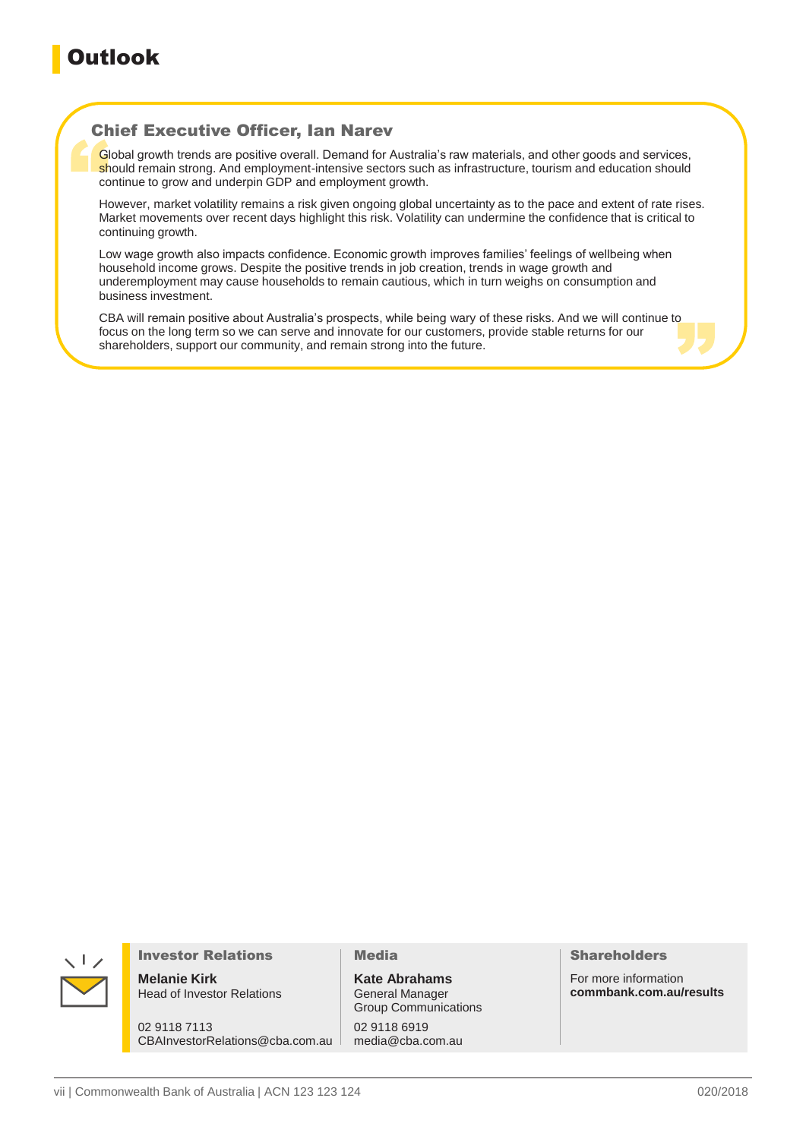### Chief Executive Officer, Ian Narev

Global growth trends are positive overall. Demand for Australia's raw materials, and other goods and services, should remain strong. And employment-intensive sectors such as infrastructure, tourism and education should continue to grow and underpin GDP and employment growth.

However, market volatility remains a risk given ongoing global uncertainty as to the pace and extent of rate rises. Market movements over recent days highlight this risk. Volatility can undermine the confidence that is critical to continuing growth.

Low wage growth also impacts confidence. Economic growth improves families' feelings of wellbeing when household income grows. Despite the positive trends in job creation, trends in wage growth and underemployment may cause households to remain cautious, which in turn weighs on consumption and business investment.

CBA will remain positive about Australia's prospects, while being wary of these risks. And we will continue to focus on the long term so we can serve and innovate for our customers, provide stable returns for our shareholders, support our community, and remain strong into the future.



#### Investor Relations

**Melanie Kirk** Head of Investor Relations

02 9118 7113 CBAInvestorRelations@cba.com.au

#### Media

**Kate Abrahams** General Manager Group Communications 02 9118 6919 media@cba.com.au

#### Shareholders

For more information **commbank.com.au/results**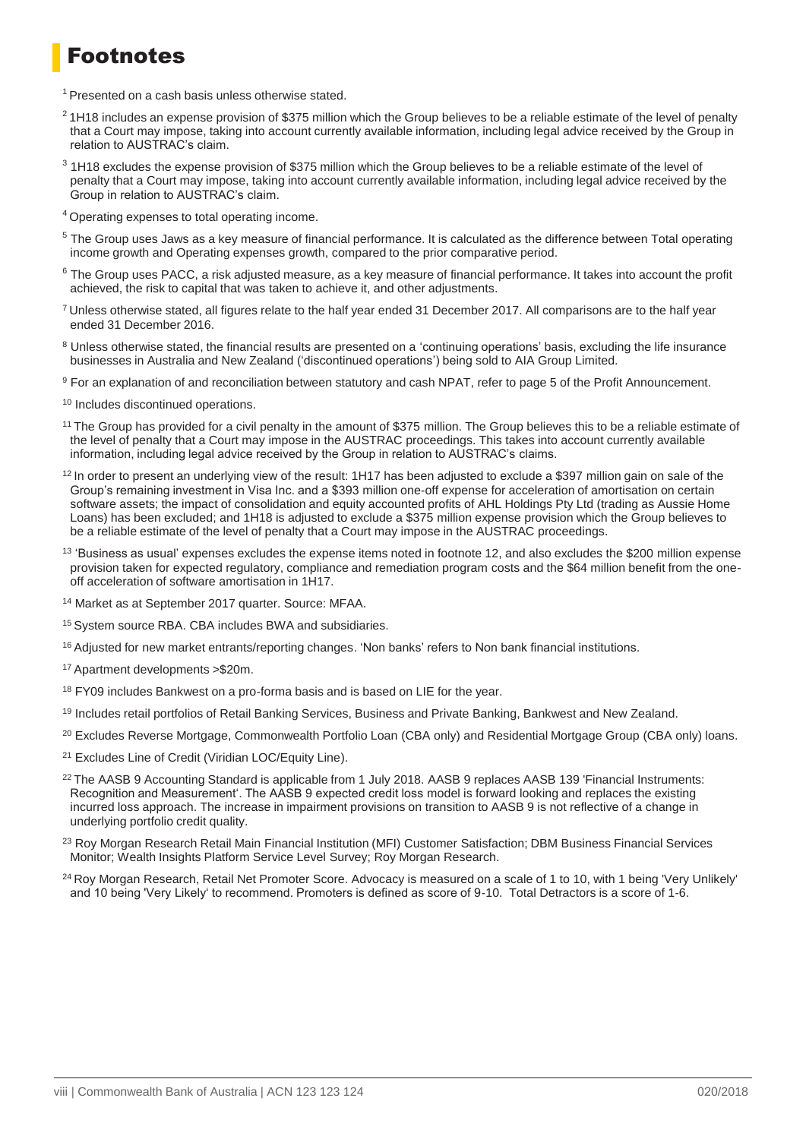### Footnotes

 $1$  Presented on a cash basis unless otherwise stated.

- $21H18$  includes an expense provision of \$375 million which the Group believes to be a reliable estimate of the level of penalty that a Court may impose, taking into account currently available information, including legal advice received by the Group in relation to AUSTRAC's claim.
- <sup>3</sup> 1H18 excludes the expense provision of \$375 million which the Group believes to be a reliable estimate of the level of penalty that a Court may impose, taking into account currently available information, including legal advice received by the Group in relation to AUSTRAC's claim.
- <sup>4</sup>Operating expenses to total operating income.
- <sup>5</sup> The Group uses Jaws as a key measure of financial performance. It is calculated as the difference between Total operating income growth and Operating expenses growth, compared to the prior comparative period.
- <sup>6</sup> The Group uses PACC, a risk adjusted measure, as a key measure of financial performance. It takes into account the profit achieved, the risk to capital that was taken to achieve it, and other adjustments.
- <sup>7</sup>Unless otherwise stated, all figures relate to the half year ended 31 December 2017. All comparisons are to the half year ended 31 December 2016.
- <sup>8</sup> Unless otherwise stated, the financial results are presented on a 'continuing operations' basis, excluding the life insurance businesses in Australia and New Zealand ('discontinued operations') being sold to AIA Group Limited.
- <sup>9</sup> For an explanation of and reconciliation between statutory and cash NPAT, refer to page 5 of the Profit Announcement.
- <sup>10</sup> Includes discontinued operations.
- <sup>11</sup>The Group has provided for a civil penalty in the amount of \$375 million. The Group believes this to be a reliable estimate of the level of penalty that a Court may impose in the AUSTRAC proceedings. This takes into account currently available information, including legal advice received by the Group in relation to AUSTRAC's claims.
- $12$ In order to present an underlying view of the result: 1H17 has been adjusted to exclude a \$397 million gain on sale of the Group's remaining investment in Visa Inc. and a \$393 million one-off expense for acceleration of amortisation on certain software assets; the impact of consolidation and equity accounted profits of AHL Holdings Pty Ltd (trading as Aussie Home Loans) has been excluded; and 1H18 is adjusted to exclude a \$375 million expense provision which the Group believes to be a reliable estimate of the level of penalty that a Court may impose in the AUSTRAC proceedings.
- $13$  'Business as usual' expenses excludes the expense items noted in footnote 12, and also excludes the \$200 million expense provision taken for expected regulatory, compliance and remediation program costs and the \$64 million benefit from the oneoff acceleration of software amortisation in 1H17.
- <sup>14</sup> Market as at September 2017 quarter. Source: MFAA.
- 15 System source RBA. CBA includes BWA and subsidiaries.
- <sup>16</sup> Adjusted for new market entrants/reporting changes. 'Non banks' refers to Non bank financial institutions.
- <sup>17</sup>Apartment developments >\$20m.
- <sup>18</sup> FY09 includes Bankwest on a pro-forma basis and is based on LIE for the year.
- <sup>19</sup> Includes retail portfolios of Retail Banking Services, Business and Private Banking, Bankwest and New Zealand.
- <sup>20</sup> Excludes Reverse Mortgage, Commonwealth Portfolio Loan (CBA only) and Residential Mortgage Group (CBA only) loans.
- <sup>21</sup> Excludes Line of Credit (Viridian LOC/Equity Line).
- <sup>22</sup>The AASB 9 Accounting Standard is applicable from 1 July 2018. AASB 9 replaces AASB 139 'Financial Instruments: Recognition and Measurement'. The AASB 9 expected credit loss model is forward looking and replaces the existing incurred loss approach. The increase in impairment provisions on transition to AASB 9 is not reflective of a change in underlying portfolio credit quality.
- <sup>23</sup> Roy Morgan Research Retail Main Financial Institution (MFI) Customer Satisfaction: DBM Business Financial Services Monitor; Wealth Insights Platform Service Level Survey; Roy Morgan Research.
- <sup>24</sup> Roy Morgan Research, Retail Net Promoter Score. Advocacy is measured on a scale of 1 to 10, with 1 being 'Very Unlikely' and 10 being 'Very Likely' to recommend. Promoters is defined as score of 9-10. Total Detractors is a score of 1-6.